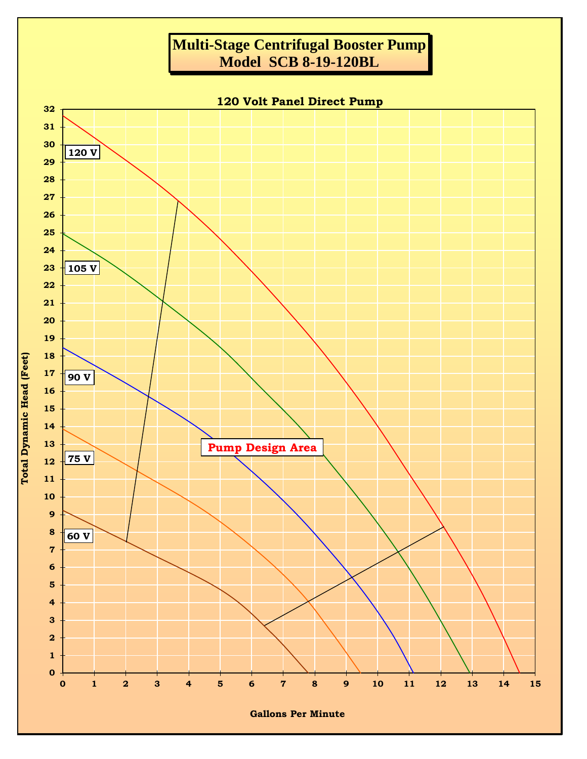## **Multi-Stage Centrifugal Booster Pump Model SCB 8-19-120BL**



**Gallons Per Minute**